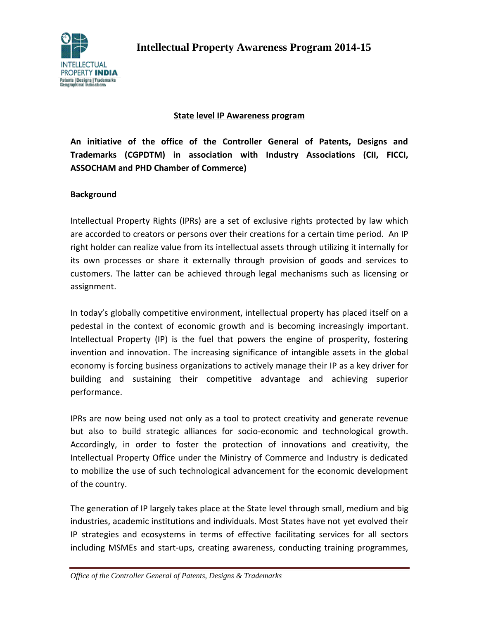

### **State level IP Awareness program**

**An initiative of the office of the Controller General of Patents, Designs and Trademarks (CGPDTM) in association with Industry Associations (CII, FICCI, ASSOCHAM and PHD Chamber of Commerce)**

#### **Background**

Intellectual Property Rights (IPRs) are a set of exclusive rights protected by law which are accorded to creators or persons over their creations for a certain time period. An IP right holder can realize value from its intellectual assets through utilizing it internally for its own processes or share it externally through provision of goods and services to customers. The latter can be achieved through legal mechanisms such as licensing or assignment.

In today's globally competitive environment, intellectual property has placed itself on a pedestal in the context of economic growth and is becoming increasingly important. Intellectual Property (IP) is the fuel that powers the engine of prosperity, fostering invention and innovation. The increasing significance of intangible assets in the global economy is forcing business organizations to actively manage their IP as a key driver for building and sustaining their competitive advantage and achieving superior performance.

IPRs are now being used not only as a tool to protect creativity and generate revenue but also to build strategic alliances for socio-economic and technological growth. Accordingly, in order to foster the protection of innovations and creativity, the Intellectual Property Office under the Ministry of Commerce and Industry is dedicated to mobilize the use of such technological advancement for the economic development of the country.

The generation of IP largely takes place at the State level through small, medium and big industries, academic institutions and individuals. Most States have not yet evolved their IP strategies and ecosystems in terms of effective facilitating services for all sectors including MSMEs and start-ups, creating awareness, conducting training programmes,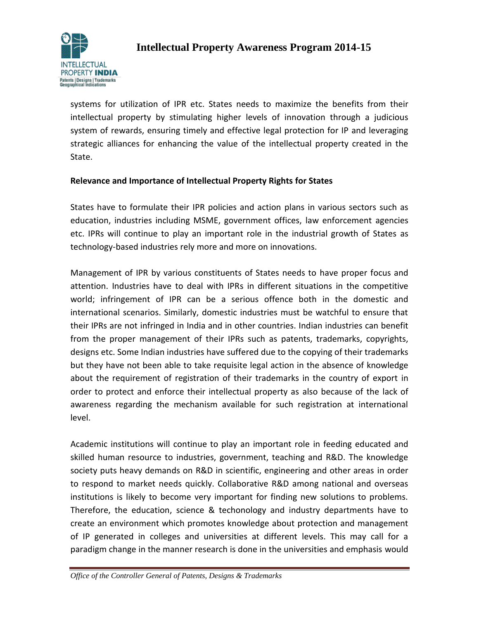

systems for utilization of IPR etc. States needs to maximize the benefits from their intellectual property by stimulating higher levels of innovation through a judicious system of rewards, ensuring timely and effective legal protection for IP and leveraging strategic alliances for enhancing the value of the intellectual property created in the State.

## **Relevance and Importance of Intellectual Property Rights for States**

States have to formulate their IPR policies and action plans in various sectors such as education, industries including MSME, government offices, law enforcement agencies etc. IPRs will continue to play an important role in the industrial growth of States as technology-based industries rely more and more on innovations.

Management of IPR by various constituents of States needs to have proper focus and attention. Industries have to deal with IPRs in different situations in the competitive world; infringement of IPR can be a serious offence both in the domestic and international scenarios. Similarly, domestic industries must be watchful to ensure that their IPRs are not infringed in India and in other countries. Indian industries can benefit from the proper management of their IPRs such as patents, trademarks, copyrights, designs etc. Some Indian industries have suffered due to the copying of their trademarks but they have not been able to take requisite legal action in the absence of knowledge about the requirement of registration of their trademarks in the country of export in order to protect and enforce their intellectual property as also because of the lack of awareness regarding the mechanism available for such registration at international level.

Academic institutions will continue to play an important role in feeding educated and skilled human resource to industries, government, teaching and R&D. The knowledge society puts heavy demands on R&D in scientific, engineering and other areas in order to respond to market needs quickly. Collaborative R&D among national and overseas institutions is likely to become very important for finding new solutions to problems. Therefore, the education, science & techonology and industry departments have to create an environment which promotes knowledge about protection and management of IP generated in colleges and universities at different levels. This may call for a paradigm change in the manner research is done in the universities and emphasis would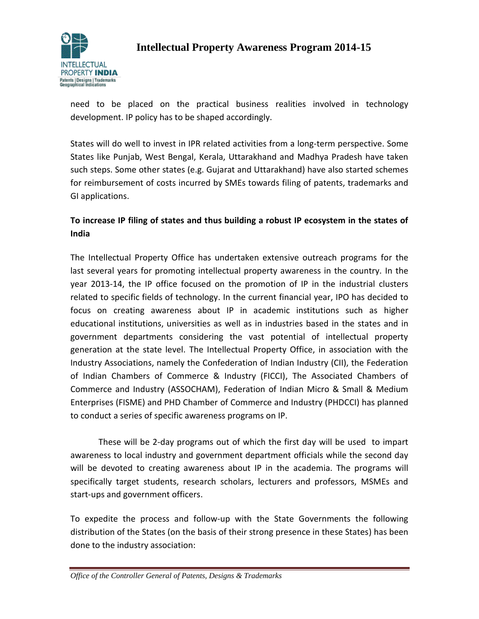

need to be placed on the practical business realities involved in technology development. IP policy has to be shaped accordingly.

States will do well to invest in IPR related activities from a long-term perspective. Some States like Punjab, West Bengal, Kerala, Uttarakhand and Madhya Pradesh have taken such steps. Some other states (e.g. Gujarat and Uttarakhand) have also started schemes for reimbursement of costs incurred by SMEs towards filing of patents, trademarks and GI applications.

## **To increase IP filing of states and thus building a robust IP ecosystem in the states of India**

The Intellectual Property Office has undertaken extensive outreach programs for the last several years for promoting intellectual property awareness in the country. In the year 2013-14, the IP office focused on the promotion of IP in the industrial clusters related to specific fields of technology. In the current financial year, IPO has decided to focus on creating awareness about IP in academic institutions such as higher educational institutions, universities as well as in industries based in the states and in government departments considering the vast potential of intellectual property generation at the state level. The Intellectual Property Office, in association with the Industry Associations, namely the Confederation of Indian Industry (CII), the Federation of Indian Chambers of Commerce & Industry (FICCI), The Associated Chambers of Commerce and Industry (ASSOCHAM), Federation of Indian Micro & Small & Medium Enterprises (FISME) and PHD Chamber of Commerce and Industry (PHDCCI) has planned to conduct a series of specific awareness programs on IP.

These will be 2-day programs out of which the first day will be used to impart awareness to local industry and government department officials while the second day will be devoted to creating awareness about IP in the academia. The programs will specifically target students, research scholars, lecturers and professors, MSMEs and start-ups and government officers.

To expedite the process and follow-up with the State Governments the following distribution of the States (on the basis of their strong presence in these States) has been done to the industry association: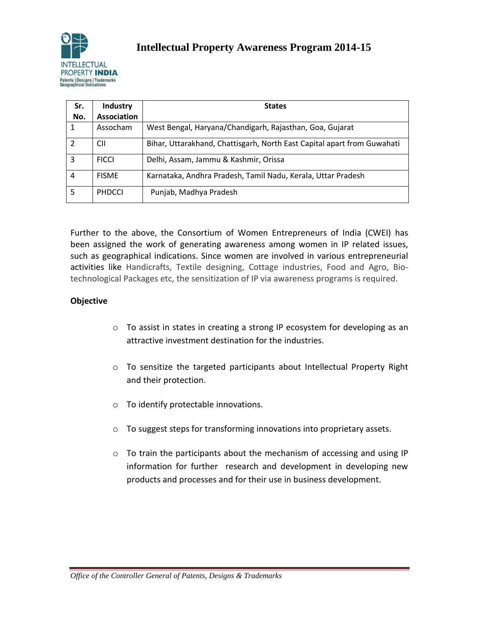

| Sr.<br>No. | Industry<br><b>Association</b> | <b>States</b>                                                           |  |
|------------|--------------------------------|-------------------------------------------------------------------------|--|
|            |                                |                                                                         |  |
| 1          | Assocham                       | West Bengal, Haryana/Chandigarh, Rajasthan, Goa, Gujarat                |  |
|            | <b>CII</b>                     | Bihar, Uttarakhand, Chattisgarh, North East Capital apart from Guwahati |  |
| 3          | <b>FICCI</b>                   | Delhi, Assam, Jammu & Kashmir, Orissa                                   |  |
| 4          | <b>FISMF</b>                   | Karnataka, Andhra Pradesh, Tamil Nadu, Kerala, Uttar Pradesh            |  |
| 5          | <b>PHDCCI</b>                  | Punjab, Madhya Pradesh                                                  |  |

Further to the above, the Consortium of Women Entrepreneurs of India (CWEI) has been assigned the work of generating awareness among women in IP related issues, such as geographical indications. Since women are involved in various entrepreneurial activities like Handicrafts, Textile designing, Cottage industries, Food and Agro, Biotechnological Packages etc, the sensitization of IP via awareness programs is required.

## **Objective**

- $\circ$  To assist in states in creating a strong IP ecosystem for developing as an attractive investment destination for the industries.
- $\circ$  To sensitize the targeted participants about Intellectual Property Right and their protection.
- o To identify protectable innovations.
- o To suggest steps for transforming innovations into proprietary assets.
- o To train the participants about the mechanism of accessing and using IP information for further research and development in developing new products and processes and for their use in business development.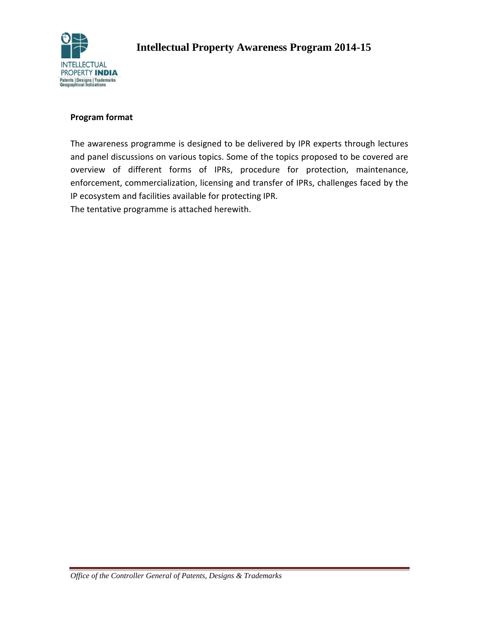

#### **Program format**

The awareness programme is designed to be delivered by IPR experts through lectures and panel discussions on various topics. Some of the topics proposed to be covered are overview of different forms of IPRs, procedure for protection, maintenance, enforcement, commercialization, licensing and transfer of IPRs, challenges faced by the IP ecosystem and facilities available for protecting IPR.

The tentative programme is attached herewith.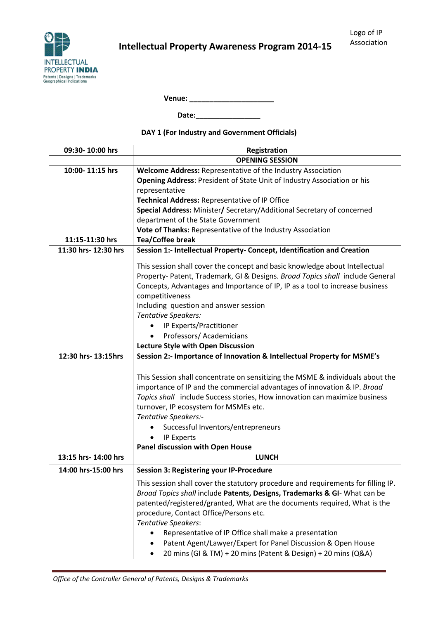**Venue: \_\_\_\_\_\_\_\_\_\_\_\_\_\_\_\_\_\_\_\_\_**

**Date:\_\_\_\_\_\_\_\_\_\_\_\_\_\_\_\_**

**DAY 1 (For Industry and Government Officials)**

| 09:30-10:00 hrs      | Registration                                                                      |  |  |
|----------------------|-----------------------------------------------------------------------------------|--|--|
|                      | <b>OPENING SESSION</b>                                                            |  |  |
| 10:00-11:15 hrs      | Welcome Address: Representative of the Industry Association                       |  |  |
|                      | Opening Address: President of State Unit of Industry Association or his           |  |  |
|                      | representative                                                                    |  |  |
|                      | Technical Address: Representative of IP Office                                    |  |  |
|                      | Special Address: Minister/ Secretary/Additional Secretary of concerned            |  |  |
|                      | department of the State Government                                                |  |  |
|                      | Vote of Thanks: Representative of the Industry Association                        |  |  |
| 11:15-11:30 hrs      | <b>Tea/Coffee break</b>                                                           |  |  |
| 11:30 hrs- 12:30 hrs | Session 1:- Intellectual Property- Concept, Identification and Creation           |  |  |
|                      | This session shall cover the concept and basic knowledge about Intellectual       |  |  |
|                      | Property-Patent, Trademark, GI & Designs. Broad Topics shall include General      |  |  |
|                      | Concepts, Advantages and Importance of IP, IP as a tool to increase business      |  |  |
|                      | competitiveness                                                                   |  |  |
|                      | Including question and answer session                                             |  |  |
|                      | <b>Tentative Speakers:</b>                                                        |  |  |
|                      | IP Experts/Practitioner                                                           |  |  |
|                      | Professors/Academicians                                                           |  |  |
|                      | <b>Lecture Style with Open Discussion</b>                                         |  |  |
| 12:30 hrs- 13:15hrs  | Session 2:- Importance of Innovation & Intellectual Property for MSME's           |  |  |
|                      |                                                                                   |  |  |
|                      | This Session shall concentrate on sensitizing the MSME & individuals about the    |  |  |
|                      | importance of IP and the commercial advantages of innovation & IP. Broad          |  |  |
|                      | Topics shall include Success stories, How innovation can maximize business        |  |  |
|                      | turnover, IP ecosystem for MSMEs etc.                                             |  |  |
|                      | Tentative Speakers:-                                                              |  |  |
|                      | Successful Inventors/entrepreneurs                                                |  |  |
|                      | IP Experts                                                                        |  |  |
|                      | <b>Panel discussion with Open House</b>                                           |  |  |
| 13:15 hrs- 14:00 hrs | <b>LUNCH</b>                                                                      |  |  |
| 14:00 hrs-15:00 hrs  | <b>Session 3: Registering your IP-Procedure</b>                                   |  |  |
|                      | This session shall cover the statutory procedure and requirements for filling IP. |  |  |
|                      | Broad Topics shall include Patents, Designs, Trademarks & GI- What can be         |  |  |
|                      | patented/registered/granted, What are the documents required, What is the         |  |  |
|                      | procedure, Contact Office/Persons etc.                                            |  |  |
|                      | <b>Tentative Speakers:</b>                                                        |  |  |
|                      | Representative of IP Office shall make a presentation                             |  |  |
|                      | Patent Agent/Lawyer/Expert for Panel Discussion & Open House                      |  |  |
|                      | 20 mins (GI & TM) + 20 mins (Patent & Design) + 20 mins (Q&A)                     |  |  |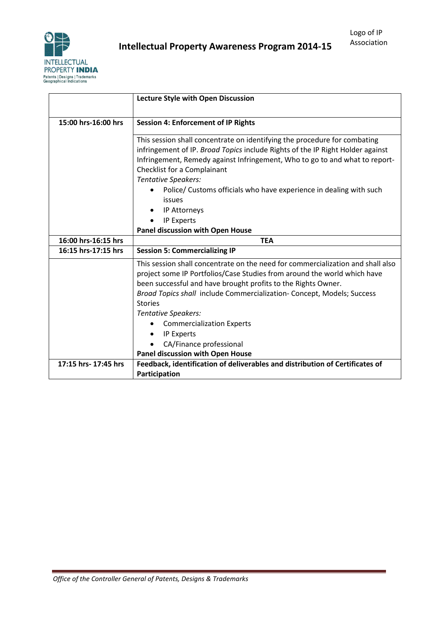

|                      | <b>Lecture Style with Open Discussion</b>                                                                                                                                                                                                                                                                                                                                                                      |  |  |
|----------------------|----------------------------------------------------------------------------------------------------------------------------------------------------------------------------------------------------------------------------------------------------------------------------------------------------------------------------------------------------------------------------------------------------------------|--|--|
| 15:00 hrs-16:00 hrs  | <b>Session 4: Enforcement of IP Rights</b>                                                                                                                                                                                                                                                                                                                                                                     |  |  |
|                      | This session shall concentrate on identifying the procedure for combating<br>infringement of IP. Broad Topics include Rights of the IP Right Holder against<br>Infringement, Remedy against Infringement, Who to go to and what to report-<br>Checklist for a Complainant<br><b>Tentative Speakers:</b><br>Police/ Customs officials who have experience in dealing with such<br>issues<br><b>IP Attorneys</b> |  |  |
|                      | IP Experts                                                                                                                                                                                                                                                                                                                                                                                                     |  |  |
|                      | <b>Panel discussion with Open House</b>                                                                                                                                                                                                                                                                                                                                                                        |  |  |
| 16:00 hrs-16:15 hrs  | <b>TEA</b>                                                                                                                                                                                                                                                                                                                                                                                                     |  |  |
|                      |                                                                                                                                                                                                                                                                                                                                                                                                                |  |  |
| 16:15 hrs-17:15 hrs  | <b>Session 5: Commercializing IP</b>                                                                                                                                                                                                                                                                                                                                                                           |  |  |
|                      | This session shall concentrate on the need for commercialization and shall also<br>project some IP Portfolios/Case Studies from around the world which have<br>been successful and have brought profits to the Rights Owner.                                                                                                                                                                                   |  |  |
|                      | Broad Topics shall include Commercialization- Concept, Models; Success<br><b>Stories</b>                                                                                                                                                                                                                                                                                                                       |  |  |
|                      | <b>Tentative Speakers:</b>                                                                                                                                                                                                                                                                                                                                                                                     |  |  |
|                      | <b>Commercialization Experts</b>                                                                                                                                                                                                                                                                                                                                                                               |  |  |
|                      | <b>IP Experts</b>                                                                                                                                                                                                                                                                                                                                                                                              |  |  |
|                      | CA/Finance professional                                                                                                                                                                                                                                                                                                                                                                                        |  |  |
|                      | Panel discussion with Open House                                                                                                                                                                                                                                                                                                                                                                               |  |  |
| 17:15 hrs- 17:45 hrs | Feedback, identification of deliverables and distribution of Certificates of<br>Participation                                                                                                                                                                                                                                                                                                                  |  |  |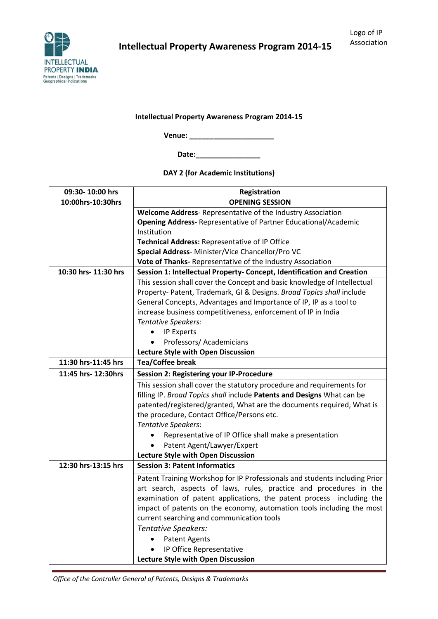

**Venue: \_\_\_\_\_\_\_\_\_\_\_\_\_\_\_\_\_\_\_\_\_**

**Date:\_\_\_\_\_\_\_\_\_\_\_\_\_\_\_\_**

**DAY 2 (for Academic Institutions)**

| 09:30-10:00 hrs      | Registration                                                               |  |  |  |
|----------------------|----------------------------------------------------------------------------|--|--|--|
| 10:00hrs-10:30hrs    | <b>OPENING SESSION</b>                                                     |  |  |  |
|                      | Welcome Address-Representative of the Industry Association                 |  |  |  |
|                      | Opening Address-Representative of Partner Educational/Academic             |  |  |  |
|                      | Institution                                                                |  |  |  |
|                      | Technical Address: Representative of IP Office                             |  |  |  |
|                      | Special Address- Minister/Vice Chancellor/Pro VC                           |  |  |  |
|                      | Vote of Thanks- Representative of the Industry Association                 |  |  |  |
| 10:30 hrs- 11:30 hrs | Session 1: Intellectual Property- Concept, Identification and Creation     |  |  |  |
|                      | This session shall cover the Concept and basic knowledge of Intellectual   |  |  |  |
|                      | Property- Patent, Trademark, GI & Designs. Broad Topics shall include      |  |  |  |
|                      | General Concepts, Advantages and Importance of IP, IP as a tool to         |  |  |  |
|                      | increase business competitiveness, enforcement of IP in India              |  |  |  |
|                      | <b>Tentative Speakers:</b>                                                 |  |  |  |
|                      | IP Experts                                                                 |  |  |  |
|                      | Professors/Academicians                                                    |  |  |  |
|                      | Lecture Style with Open Discussion                                         |  |  |  |
| 11:30 hrs-11:45 hrs  | <b>Tea/Coffee break</b>                                                    |  |  |  |
| 11:45 hrs- 12:30hrs  | Session 2: Registering your IP-Procedure                                   |  |  |  |
|                      | This session shall cover the statutory procedure and requirements for      |  |  |  |
|                      | filling IP. Broad Topics shall include Patents and Designs What can be     |  |  |  |
|                      | patented/registered/granted, What are the documents required, What is      |  |  |  |
|                      | the procedure, Contact Office/Persons etc.                                 |  |  |  |
|                      | <b>Tentative Speakers:</b>                                                 |  |  |  |
|                      | Representative of IP Office shall make a presentation                      |  |  |  |
|                      | Patent Agent/Lawyer/Expert                                                 |  |  |  |
|                      | Lecture Style with Open Discussion                                         |  |  |  |
| 12:30 hrs-13:15 hrs  | <b>Session 3: Patent Informatics</b>                                       |  |  |  |
|                      | Patent Training Workshop for IP Professionals and students including Prior |  |  |  |
|                      | art search, aspects of laws, rules, practice and procedures in the         |  |  |  |
|                      | examination of patent applications, the patent process including the       |  |  |  |
|                      | impact of patents on the economy, automation tools including the most      |  |  |  |
|                      | current searching and communication tools                                  |  |  |  |
|                      | Tentative Speakers:                                                        |  |  |  |
|                      | <b>Patent Agents</b>                                                       |  |  |  |
|                      | IP Office Representative                                                   |  |  |  |
|                      | Lecture Style with Open Discussion                                         |  |  |  |

*Office of the Controller General of Patents, Designs & Trademarks*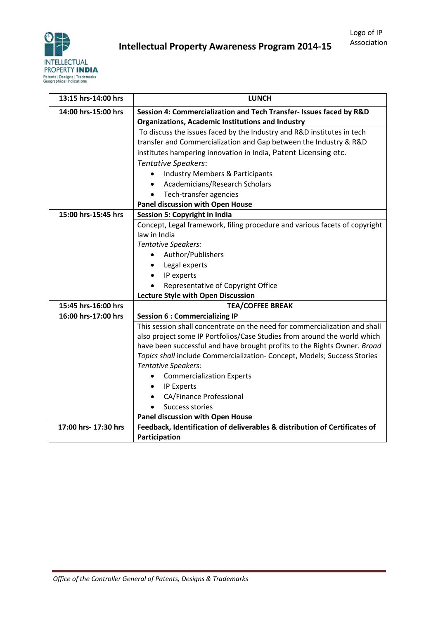

| 13:15 hrs-14:00 hrs  | <b>LUNCH</b>                                                               |  |  |  |
|----------------------|----------------------------------------------------------------------------|--|--|--|
| 14:00 hrs-15:00 hrs  | Session 4: Commercialization and Tech Transfer- Issues faced by R&D        |  |  |  |
|                      | <b>Organizations, Academic Institutions and Industry</b>                   |  |  |  |
|                      | To discuss the issues faced by the Industry and R&D institutes in tech     |  |  |  |
|                      | transfer and Commercialization and Gap between the Industry & R&D          |  |  |  |
|                      | institutes hampering innovation in India, Patent Licensing etc.            |  |  |  |
|                      | <b>Tentative Speakers:</b>                                                 |  |  |  |
|                      | <b>Industry Members &amp; Participants</b>                                 |  |  |  |
|                      | Academicians/Research Scholars<br>$\bullet$                                |  |  |  |
|                      | Tech-transfer agencies<br>$\bullet$                                        |  |  |  |
|                      | Panel discussion with Open House                                           |  |  |  |
| 15:00 hrs-15:45 hrs  | <b>Session 5: Copyright in India</b>                                       |  |  |  |
|                      | Concept, Legal framework, filing procedure and various facets of copyright |  |  |  |
|                      | law in India                                                               |  |  |  |
|                      | <b>Tentative Speakers:</b>                                                 |  |  |  |
|                      | Author/Publishers                                                          |  |  |  |
|                      | Legal experts                                                              |  |  |  |
|                      | IP experts                                                                 |  |  |  |
|                      | Representative of Copyright Office                                         |  |  |  |
|                      | Lecture Style with Open Discussion                                         |  |  |  |
| 15:45 hrs-16:00 hrs  | <b>TEA/COFFEE BREAK</b>                                                    |  |  |  |
| 16:00 hrs-17:00 hrs  | <b>Session 6 : Commercializing IP</b>                                      |  |  |  |
|                      | This session shall concentrate on the need for commercialization and shall |  |  |  |
|                      | also project some IP Portfolios/Case Studies from around the world which   |  |  |  |
|                      | have been successful and have brought profits to the Rights Owner. Broad   |  |  |  |
|                      | Topics shall include Commercialization- Concept, Models; Success Stories   |  |  |  |
|                      | Tentative Speakers:                                                        |  |  |  |
|                      | <b>Commercialization Experts</b>                                           |  |  |  |
|                      | IP Experts<br>$\bullet$                                                    |  |  |  |
|                      | <b>CA/Finance Professional</b>                                             |  |  |  |
|                      | Success stories                                                            |  |  |  |
|                      | Panel discussion with Open House                                           |  |  |  |
| 17:00 hrs- 17:30 hrs | Feedback, Identification of deliverables & distribution of Certificates of |  |  |  |
|                      | Participation                                                              |  |  |  |